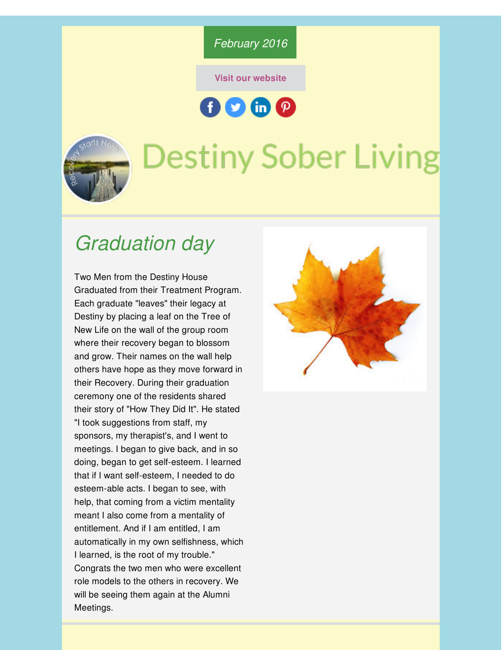#### *February 2016*

**Visit our [website](http://r20.rs6.net/tn.jsp?f=001NlzzEWgZg-n_CziooIC2XS2Ui6lfsltq6jOLHqgrPL30kpKTCWpx282z_95qHzn3dBR6fKBHEDoh13a2L4iWgrWZiS6xogViN1OTGF0fFxeEX3BExVl06uE_u5E1TpuKxNLw21weofokd8denXMadtTRh246WUzt&c=&ch=)**





# **Destiny Sober Living**

# *Graduation day*

Two Men from the Destiny House Graduated from their Treatment Program. Each graduate "leaves" their legacy at Destiny by placing a leaf on the Tree of New Life on the wall of the group room where their recovery began to blossom and grow. Their names on the wall help others have hope as they move forward in their Recovery. During their graduation ceremony one of the residents shared their story of "How They Did It". He stated "I took suggestions from staff, my sponsors, my therapist's, and I went to meetings. I began to give back, and in so doing, began to get self-esteem. I learned that if I want self-esteem, I needed to do esteem-able acts. I began to see, with help, that coming from a victim mentality meant I also come from a mentality of entitlement. And if I am entitled, I am automatically in my own selfishness, which I learned, is the root of my trouble." Congrats the two men who were excellent role models to the others in recovery. We will be seeing them again at the Alumni Meetings.

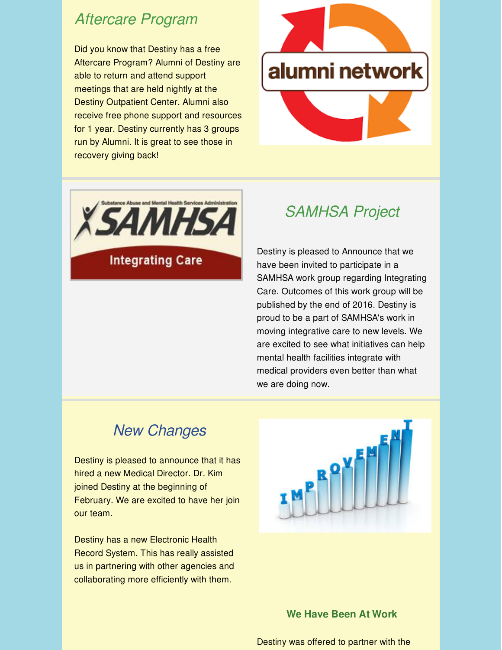## *Aftercare Program*

Did you know that Destiny has a free Aftercare Program? Alumni of Destiny are able to return and attend support meetings that are held nightly at the Destiny Outpatient Center. Alumni also receive free phone support and resources for 1 year. Destiny currently has 3 groups run by Alumni. It is great to see those in recovery giving back!





# *SAMHSA Project*

Destiny is pleased to Announce that we have been invited to participate in a SAMHSA work group regarding Integrating Care. Outcomes of this work group will be published by the end of 2016. Destiny is proud to be a part of SAMHSA's work in moving integrative care to new levels. We are excited to see what initiatives can help mental health facilities integrate with medical providers even better than what we are doing now.

# *New Changes*

Destiny is pleased to announce that it has hired a new Medical Director. Dr. Kim joined Destiny at the beginning of February. We are excited to have her join our team.

Destiny has a new Electronic Health Record System. This has really assisted us in partnering with other agencies and collaborating more efficiently with them.



**We Have Been At Work**

Destiny was offered to partner with the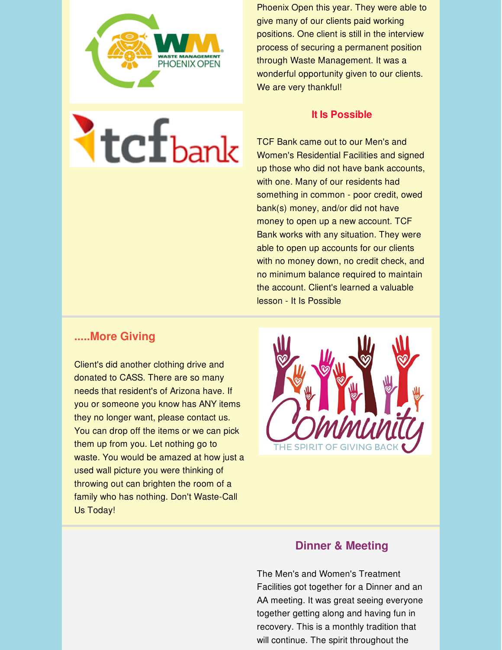

# tcfbank

Phoenix Open this year. They were able to give many of our clients paid working positions. One client is still in the interview process of securing a permanent position through Waste Management. It was a wonderful opportunity given to our clients. We are very thankful!

#### **It Is Possible**

TCF Bank came out to our Men's and Women's Residential Facilities and signed up those who did not have bank accounts, with one. Many of our residents had something in common - poor credit, owed bank(s) money, and/or did not have money to open up a new account. TCF Bank works with any situation. They were able to open up accounts for our clients with no money down, no credit check, and no minimum balance required to maintain the account. Client's learned a valuable lesson - It Is Possible

#### **.....More Giving**

Client's did another clothing drive and donated to CASS. There are so many needs that resident's of Arizona have. If you or someone you know has ANY items they no longer want, please contact us. You can drop off the items or we can pick them up from you. Let nothing go to waste. You would be amazed at how just a used wall picture you were thinking of throwing out can brighten the room of a family who has nothing. Don't Waste-Call Us Today!



#### **Dinner & Meeting**

The Men's and Women's Treatment Facilities got together for a Dinner and an AA meeting. It was great seeing everyone together getting along and having fun in recovery. This is a monthly tradition that will continue. The spirit throughout the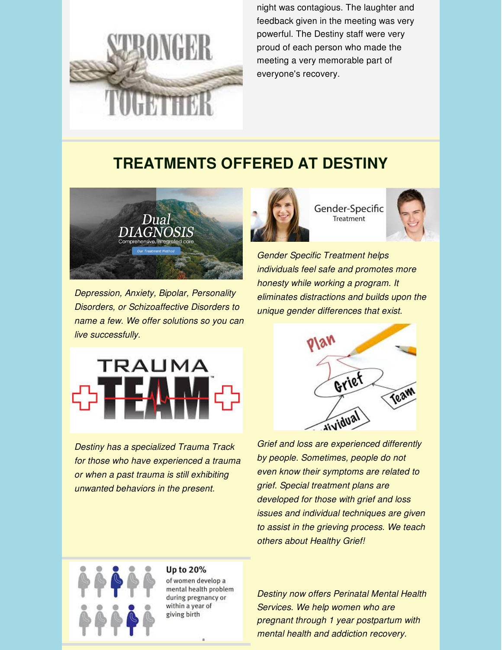

night was contagious. The laughter and feedback given in the meeting was very powerful. The Destiny staff were very proud of each person who made the meeting a very memorable part of everyone's recovery.

# **TREATMENTS OFFERED AT DESTINY**



*Depression, Anxiety, Bipolar, Personality Disorders, or Schizoaffective Disorders to name a few. We offer solutions so you can live successfully.*



*Destiny has a specialized Trauma Track for those who have experienced a trauma or when a past trauma is still exhibiting unwanted behaviors in the present.*



Gender-Specific Treatment



*Gender Specific Treatment helps individuals feel safe and promotes more honesty while working a program. It eliminates distractions and builds upon the unique gender differences that exist.*



*Grief and loss are experienced differently by people. Sometimes, people do not even know their symptoms are related to grief. Special treatment plans are developed for those with grief and loss issues and individual techniques are given to assist in the grieving process. We teach others about Healthy Grief!*



#### Up to 20%

of women develop a mental health problem during pregnancy or within a year of giving birth

*Destiny now offers Perinatal Mental Health Services. We help women who are pregnant through 1 year postpartum with mental health and addiction recovery.*